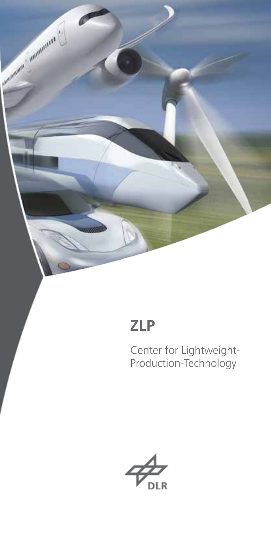

# **ZLP**

Center for Lightweight-Production-Technology

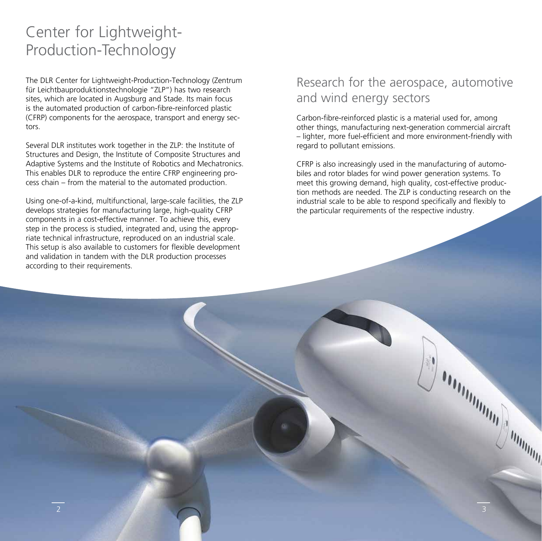# Center for Lightweight-Production-Technology

The DLR Center for Lightweight-Production-Technology (Zentrum für Leichtbauproduktionstechnologie "ZLP") has two research sites, which are located in Augsburg and Stade. Its main focus is the automated production of carbon-fibre-reinforced plastic (CFRP) components for the aerospace, transport and energy sectors.

Several DLR institutes work together in the ZLP: the Institute of Structures and Design, the Institute of Composite Structures and Adaptive Systems and the Institute of Robotics and Mechatronics. This enables DLR to reproduce the entire CFRP engineering process chain – from the material to the automated production.

Using one-of-a-kind, multifunctional, large-scale facilities, the ZLP develops strategies for manufacturing large, high-quality CFRP components in a cost-effective manner. To achieve this, every step in the process is studied, integrated and, using the appropriate technical infrastructure, reproduced on an industrial scale. This setup is also available to customers for flexible development and validation in tandem with the DLR production processes according to their requirements.

2 3

2  $\sim$  3  $\sim$  3  $\sim$  3  $\sim$  3  $\sim$  3  $\sim$  3  $\sim$  3  $\sim$  3  $\sim$  3  $\sim$  3  $\sim$  3  $\sim$  3  $\sim$  3  $\sim$  3  $\sim$  3  $\sim$  3  $\sim$  3  $\sim$  3  $\sim$  3  $\sim$  3  $\sim$  3  $\sim$  3  $\sim$  3  $\sim$  3  $\sim$   $\sim$  3  $\sim$   $\sim$  3  $\sim$   $\sim$   $\sim$   $\sim$   $\sim$   $\$ 

## Research for the aerospace, automotive and wind energy sectors

Carbon-fibre-reinforced plastic is a material used for, among other things, manufacturing next-generation commercial aircraft – lighter, more fuel-efficient and more environment-friendly with regard to pollutant emissions.

CFRP is also increasingly used in the manufacturing of automobiles and rotor blades for wind power generation systems. To meet this growing demand, high quality, cost-effective production methods are needed. The ZLP is conducting research on the industrial scale to be able to respond specifically and flexibly to the particular requirements of the respective industry.

**SOROTHION SUMMING**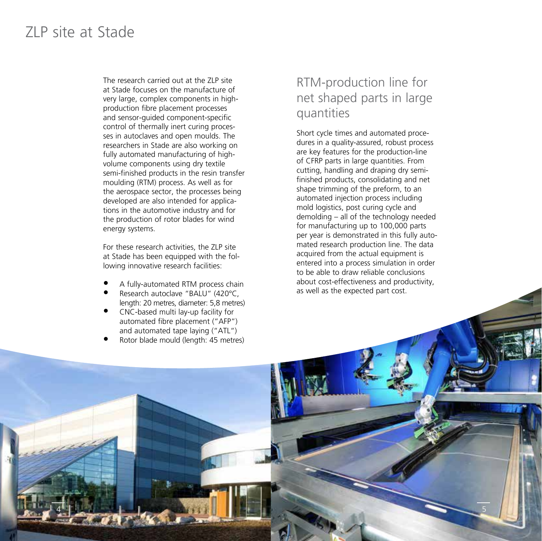## ZLP site at Stade

The research carried out at the ZLP site at Stade focuses on the manufacture of very large, complex components in highproduction fibre placement processes and sensor-guided component-specific control of thermally inert curing processes in autoclaves and open moulds. The researchers in Stade are also working on fully automated manufacturing of highvolume components using dry textile semi-finished products in the resin transfer moulding (RTM) process. As well as for the aerospace sector, the processes being developed are also intended for applications in the automotive industry and for the production of rotor blades for wind energy systems.

For these research activities, the ZLP site at Stade has been equipped with the following innovative research facilities:

- A fully-automated RTM process chain
- Research autoclave "BALU" (420°C, length: 20 metres, diameter: 5,8 metres)
- CNC-based multi lay-up facility for automated fibre placement ("AFP") and automated tape laying ("ATL")
- Rotor blade mould (length: 45 metres)

4 5

4 5

## RTM-production line for net shaped parts in large quantities

Short cycle times and automated procedures in a quality-assured, robust process are key features for the production-line of CFRP parts in large quantities. From cutting, handling and draping dry semifinished products, consolidating and net shape trimming of the preform, to an automated injection process including mold logistics, post curing cycle and demolding – all of the technology needed for manufacturing up to 100,000 parts per year is demonstrated in this fully automated research production line. The data acquired from the actual equipment is entered into a process simulation in order to be able to draw reliable conclusions about cost-effectiveness and productivity, as well as the expected part cost.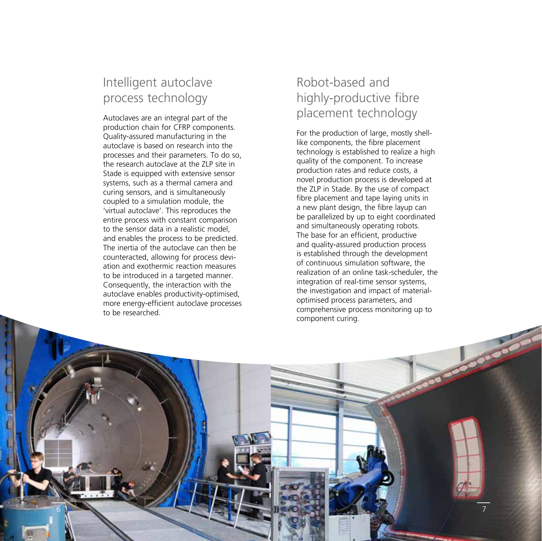## Intelligent autoclave process technology

Autoclaves are an integral part of the production chain for CFRP components. Quality-assured manufacturing in the autoclave is based on research into the processes and their parameters. To do so, the research autoclave at the ZLP site in Stade is equipped with extensive sensor systems, such as a thermal camera and curing sensors, and is simultaneously coupled to a simulation module, the 'virtual autoclave'. This reproduces the entire process with constant comparison to the sensor data in a realistic model, and enables the process to be predicted. The inertia of the autoclave can then be counteracted, allowing for process deviation and exothermic reaction measures to be introduced in a targeted manner. Consequently, the interaction with the autoclave enables productivity-optimised, more energy-efficient autoclave processes to be researched.

 $\mathcal{L}(\mathcal{A})$  for  $\mathcal{L}(\mathcal{A})$  for  $\mathcal{L}(\mathcal{A})$  , we have the set of  $\mathcal{L}(\mathcal{A})$  for  $\mathcal{L}(\mathcal{A})$ 

6 7

## Robot-based and highly-productive fibre placement technology

For the production of large, mostly shelllike components, the fibre placement technology is established to realize a high quality of the component. To increase production rates and reduce costs, a novel production process is developed at the ZLP in Stade. By the use of compact fibre placement and tape laying units in a new plant design, the fibre layup can be parallelized by up to eight coordinated and simultaneously operating robots. The base for an efficient, productive and quality-assured production process is established through the development of continuous simulation software, the realization of an online task-scheduler, the integration of real-time sensor systems, the investigation and impact of materialoptimised process parameters, and comprehensive process monitoring up to component curing.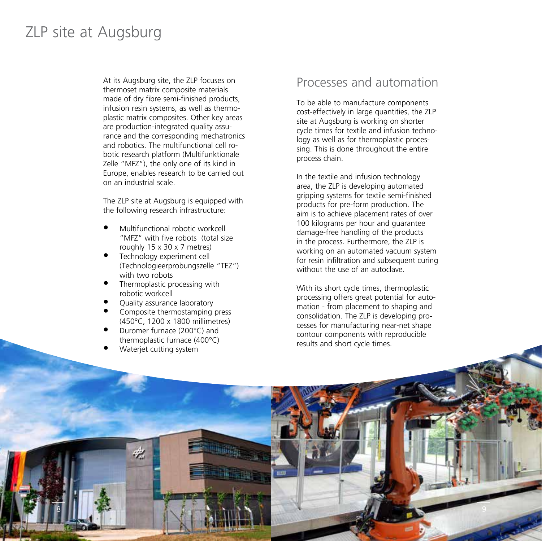## ZLP site at Augsburg

At its Augsburg site, the ZLP focuses on thermoset matrix composite materials made of dry fibre semi-finished products, infusion resin systems, as well as thermoplastic matrix composites. Other key areas are production-integrated quality assurance and the corresponding mechatronics and robotics. The multifunctional cell robotic research platform (Multifunktionale Zelle "MFZ"), the only one of its kind in Europe, enables research to be carried out on an industrial scale.

The ZLP site at Augsburg is equipped with the following research infrastructure:

- Multifunctional robotic workcell "MFZ" with five robots (total size roughly 15 x 30 x 7 metres)
- Technology experiment cell (Technologieerprobungszelle "TEZ") with two robots
- Thermoplastic processing with robotic workcell
- Ouality assurance laboratory
- Composite thermostamping press (450°C, 1200 x 1800 millimetres)
- Duromer furnace (200°C) and thermoplastic furnace (400°C)
- Waterjet cutting system

42

### Processes and automation

To be able to manufacture components cost-effectively in large quantities, the ZLP site at Augsburg is working on shorter cycle times for textile and infusion technology as well as for thermoplastic processing. This is done throughout the entire process chain.

In the textile and infusion technology area, the ZLP is developing automated gripping systems for textile semi-finished products for pre-form production. The aim is to achieve placement rates of over 100 kilograms per hour and guarantee damage-free handling of the products in the process. Furthermore, the ZLP is working on an automated vacuum system for resin infiltration and subsequent curing without the use of an autoclave.

With its short cycle times, thermoplastic processing offers great potential for automation - from placement to shaping and consolidation. The ZLP is developing processes for manufacturing near-net shape contour components with reproducible results and short cycle times.

8 9

8 9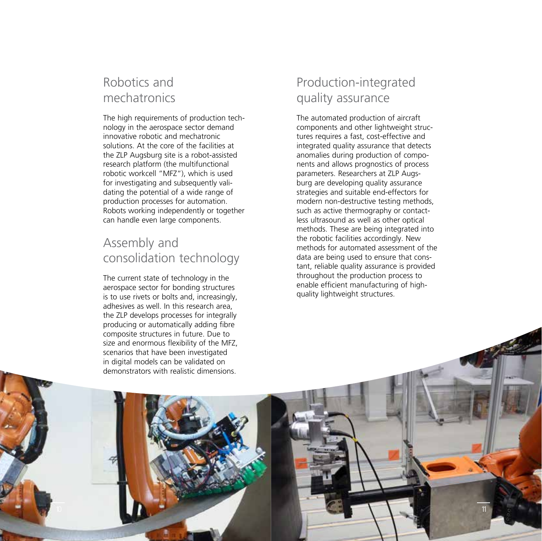## Robotics and mechatronics

The high requirements of production technology in the aerospace sector demand innovative robotic and mechatronic solutions. At the core of the facilities at the ZLP Augsburg site is a robot-assisted research platform (the multifunctional robotic workcell "MFZ"), which is used for investigating and subsequently validating the potential of a wide range of production processes for automation. Robots working independently or together can handle even large components.

## Assembly and consolidation technology

The current state of technology in the aerospace sector for bonding structures is to use rivets or bolts and, increasingly, adhesives as well. In this research area, the ZLP develops processes for integrally producing or automatically adding fibre composite structures in future. Due to size and enormous flexibility of the MFZ, scenarios that have been investigated in digital models can be validated on demonstrators with realistic dimensions.

10 11 12 13 14 15 16 17 17 18 19 19 10 11 12 13 14 15 16 17 18 17 18 17 18 17 18 17 18 17 18 17 18 17 18 17 1

10 11

## Production-integrated quality assurance

The automated production of aircraft components and other lightweight structures requires a fast, cost-effective and integrated quality assurance that detects anomalies during production of components and allows prognostics of process parameters. Researchers at ZLP Augsburg are developing quality assurance strategies and suitable end-effectors for modern non-destructive testing methods, such as active thermography or contactless ultrasound as well as other optical methods. These are being integrated into the robotic facilities accordingly. New methods for automated assessment of the data are being used to ensure that constant, reliable quality assurance is provided throughout the production process to enable efficient manufacturing of highquality lightweight structures.